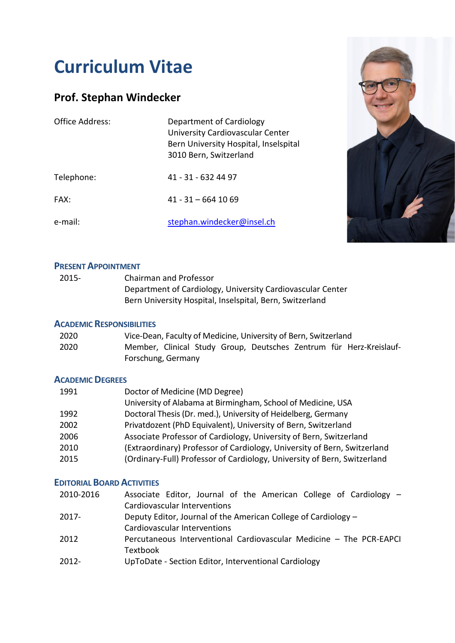# **Curriculum Vitae**

# **Prof. Stephan Windecker**

| Office Address: | Department of Cardiology<br>University Cardiovascular Center<br>Bern University Hospital, Inselspital<br>3010 Bern, Switzerland |
|-----------------|---------------------------------------------------------------------------------------------------------------------------------|
| Telephone:      | 41 - 31 - 632 44 97                                                                                                             |
| <b>FAX:</b>     | $41 - 31 - 6641069$                                                                                                             |
| e-mail:         | stephan.windecker@insel.ch                                                                                                      |



## **PRESENT APPOINTMENT**

| 2015- | Chairman and Professor                                     |
|-------|------------------------------------------------------------|
|       | Department of Cardiology, University Cardiovascular Center |
|       | Bern University Hospital, Inselspital, Bern, Switzerland   |

### **ACADEMIC RESPONSIBILITIES**

| 2020 |                    |  | Vice-Dean, Faculty of Medicine, University of Bern, Switzerland |  |                                                                     |
|------|--------------------|--|-----------------------------------------------------------------|--|---------------------------------------------------------------------|
| 2020 |                    |  |                                                                 |  | Member, Clinical Study Group, Deutsches Zentrum für Herz-Kreislauf- |
|      | Forschung, Germany |  |                                                                 |  |                                                                     |

## **ACADEMIC DEGREES**

| 1991 | Doctor of Medicine (MD Degree)                                           |
|------|--------------------------------------------------------------------------|
|      | University of Alabama at Birmingham, School of Medicine, USA             |
| 1992 | Doctoral Thesis (Dr. med.), University of Heidelberg, Germany            |
| 2002 | Privatdozent (PhD Equivalent), University of Bern, Switzerland           |
| 2006 | Associate Professor of Cardiology, University of Bern, Switzerland       |
| 2010 | (Extraordinary) Professor of Cardiology, University of Bern, Switzerland |
| 2015 | (Ordinary-Full) Professor of Cardiology, University of Bern, Switzerland |

# **EDITORIAL BOARD ACTIVITIES**

| 2010-2016 | Associate Editor, Journal of the American College of Cardiology -   |
|-----------|---------------------------------------------------------------------|
|           | Cardiovascular Interventions                                        |
| $2017 -$  | Deputy Editor, Journal of the American College of Cardiology –      |
|           | Cardiovascular Interventions                                        |
| 2012      | Percutaneous Interventional Cardiovascular Medicine - The PCR-EAPCI |
|           | Textbook                                                            |
| 2012-     | UpToDate - Section Editor, Interventional Cardiology                |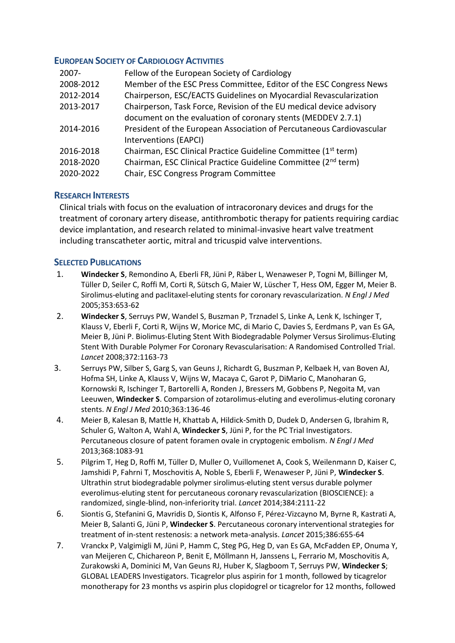#### **EUROPEAN SOCIETY OF CARDIOLOGY ACTIVITIES**

| $2007 -$  | Fellow of the European Society of Cardiology                               |
|-----------|----------------------------------------------------------------------------|
| 2008-2012 | Member of the ESC Press Committee, Editor of the ESC Congress News         |
| 2012-2014 | Chairperson, ESC/EACTS Guidelines on Myocardial Revascularization          |
| 2013-2017 | Chairperson, Task Force, Revision of the EU medical device advisory        |
|           | document on the evaluation of coronary stents (MEDDEV 2.7.1)               |
| 2014-2016 | President of the European Association of Percutaneous Cardiovascular       |
|           | Interventions (EAPCI)                                                      |
| 2016-2018 | Chairman, ESC Clinical Practice Guideline Committee (1 <sup>st</sup> term) |
| 2018-2020 | Chairman, ESC Clinical Practice Guideline Committee (2 <sup>nd</sup> term) |
| 2020-2022 | Chair, ESC Congress Program Committee                                      |

#### **RESEARCH INTERESTS**

Clinical trials with focus on the evaluation of intracoronary devices and drugs for the treatment of coronary artery disease, antithrombotic therapy for patients requiring cardiac device implantation, and research related to minimal-invasive heart valve treatment including transcatheter aortic, mitral and tricuspid valve interventions.

#### **SELECTED PUBLICATIONS**

- 1. **Windecker S**, Remondino A, Eberli FR, Jüni P, Räber L, Wenaweser P, Togni M, Billinger M, Tüller D, Seiler C, Roffi M, Corti R, Sütsch G, Maier W, Lüscher T, Hess OM, Egger M, Meier B. Sirolimus-eluting and paclitaxel-eluting stents for coronary revascularization. *N Engl J Med* 2005;353:653-62
- 2. **Windecker S**, Serruys PW, Wandel S, Buszman P, Trznadel S, Linke A, Lenk K, Ischinger T, Klauss V, Eberli F, Corti R, Wijns W, Morice MC, di Mario C, Davies S, Eerdmans P, van Es GA, Meier B, Jüni P. Biolimus-Eluting Stent With Biodegradable Polymer Versus Sirolimus-Eluting Stent With Durable Polymer For Coronary Revascularisation: A Randomised Controlled Trial. *Lancet* 2008;372:1163-73
- 3. Serruys PW, Silber S, Garg S, van Geuns J, Richardt G, Buszman P, Kelbaek H, van Boven AJ, Hofma SH, Linke A, Klauss V, Wijns W, Macaya C, Garot P, DiMario C, Manoharan G, Kornowski R, Ischinger T, Bartorelli A, Ronden J, Bressers M, Gobbens P, Negoita M, van Leeuwen, **Windecker S**. Comparsion of zotarolimus-eluting and everolimus-eluting coronary stents. *N Engl J Med* 2010;363:136-46
- 4. Meier B, Kalesan B, Mattle H, Khattab A, Hildick-Smith D, Dudek D, Andersen G, Ibrahim R, Schuler G, Walton A, Wahl A, **Windecker S**, Jüni P, for the PC Trial Investigators. Percutaneous closure of patent foramen ovale in cryptogenic embolism. *N Engl J Med* 2013;368:1083-91
- 5. Pilgrim T, Heg D, Roffi M, Tüller D, Muller O, Vuillomenet A, Cook S, Weilenmann D, Kaiser C, Jamshidi P, Fahrni T, Moschovitis A, Noble S, Eberli F, Wenaweser P, Jüni P, **Windecker S**. Ultrathin strut biodegradable polymer sirolimus-eluting stent versus durable polymer everolimus-eluting stent for percutaneous coronary revascularization (BIOSCIENCE): a randomized, single-blind, non-inferiority trial. *Lancet* 2014;384:2111-22
- 6. Siontis G, Stefanini G, Mavridis D, Siontis K, Alfonso F, Pérez-Vizcayno M, Byrne R, Kastrati A, Meier B, Salanti G, Jüni P, **Windecker S**. Percutaneous coronary interventional strategies for treatment of in-stent restenosis: a network meta-analysis. *Lancet* 2015;386:655-64
- 7. Vranckx P, Valgimigli M, Jüni P, Hamm C, Steg PG, Heg D, van Es GA, McFadden EP, Onuma Y, van Meijeren C, Chichareon P, Benit E, Möllmann H, Janssens L, Ferrario M, Moschovitis A, Zurakowski A, Dominici M, Van Geuns RJ, Huber K, Slagboom T, Serruys PW, **Windecker S**; GLOBAL LEADERS Investigators. Ticagrelor plus aspirin for 1 month, followed by ticagrelor monotherapy for 23 months vs aspirin plus clopidogrel or ticagrelor for 12 months, followed